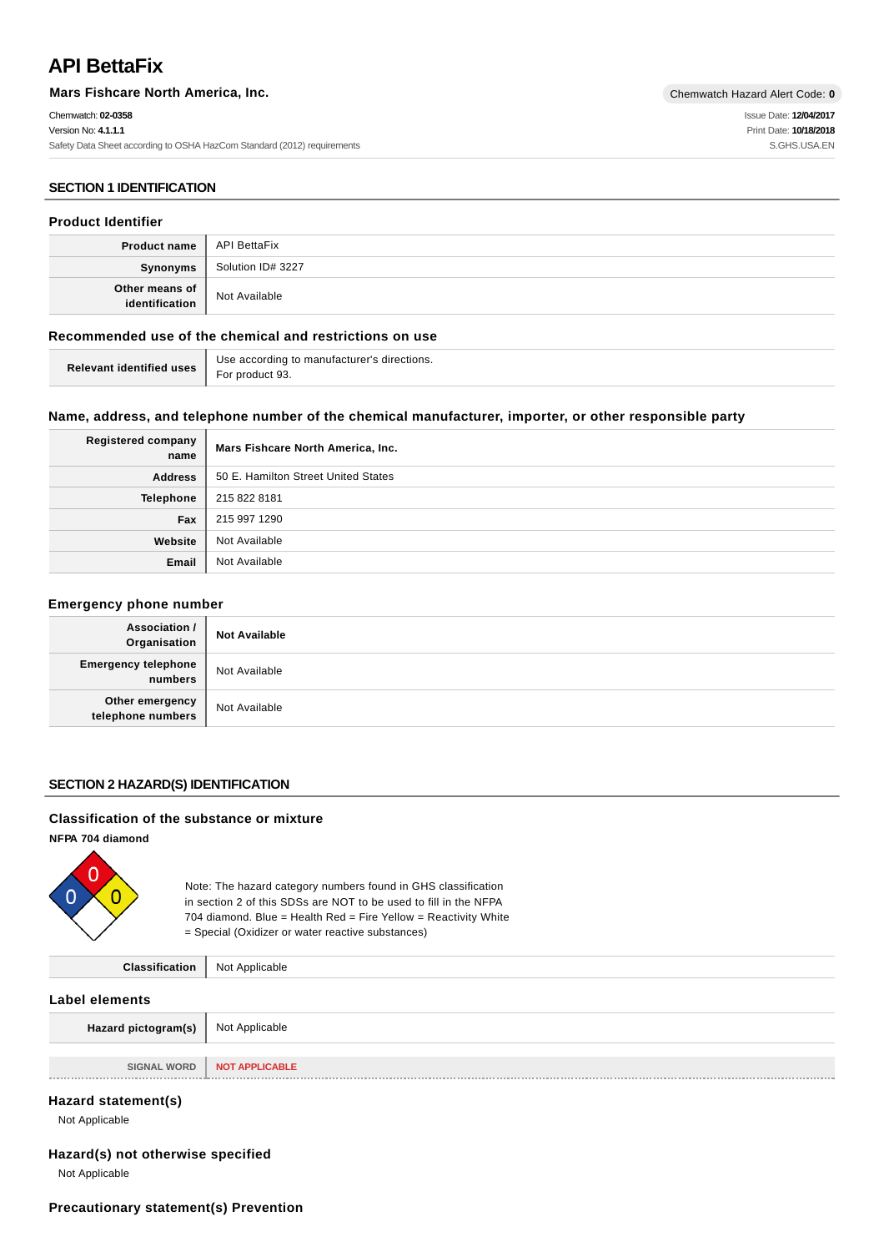# **API BettaFix**

**Mars Fishcare North America, Inc.** Chemwatch Hazard Alert Code: 0

Chemwatch: **02-0358** Version No: **4.1.1.1** Safety Data Sheet according to OSHA HazCom Standard (2012) requirements Issue Date: **12/04/2017** Print Date: **10/18/2018** S.GHS.USA.EN

# **SECTION 1 IDENTIFICATION**

### **Product Identifier**

| <b>Product name</b> API BettaFix      |                   |
|---------------------------------------|-------------------|
| Synonyms                              | Solution ID# 3227 |
| Other means of $\vert$ identification | Not Available     |

# **Recommended use of the chemical and restrictions on use**

| Relevant identified uses $\Big $ For product 93. | Use according to manufacturer's directions. |
|--------------------------------------------------|---------------------------------------------|
|                                                  |                                             |

### **Name, address, and telephone number of the chemical manufacturer, importer, or other responsible party**

| <b>Registered company</b><br>name | Mars Fishcare North America, Inc.   |
|-----------------------------------|-------------------------------------|
| <b>Address</b>                    | 50 E. Hamilton Street United States |
| Telephone                         | 215 822 8181                        |
| Fax                               | 215 997 1290                        |
| Website                           | Not Available                       |
| Email                             | Not Available                       |

### **Emergency phone number**

| Association /<br>Organisation         | <b>Not Available</b> |
|---------------------------------------|----------------------|
| <b>Emergency telephone</b><br>numbers | Not Available        |
| Other emergency<br>telephone numbers  | Not Available        |

### **SECTION 2 HAZARD(S) IDENTIFICATION**

#### **Classification of the substance or mixture**

**NFPA 704 diamond**



Note: The hazard category numbers found in GHS classification in section 2 of this SDSs are NOT to be used to fill in the NFPA 704 diamond. Blue = Health Red = Fire Yellow = Reactivity White = Special (Oxidizer or water reactive substances)

| <b>Classification</b>   Not Applicable |  |
|----------------------------------------|--|
|----------------------------------------|--|

### **Label elements**

| <b>Hazard pictogram(s)</b> $\parallel$ Not Applicable |                       |
|-------------------------------------------------------|-----------------------|
|                                                       |                       |
| SIGNAL WORD                                           | <b>NOT APPLICABLE</b> |
|                                                       |                       |

### **Hazard statement(s)**

Not Applicable

# **Hazard(s) not otherwise specified**

Not Applicable

### **Precautionary statement(s) Prevention**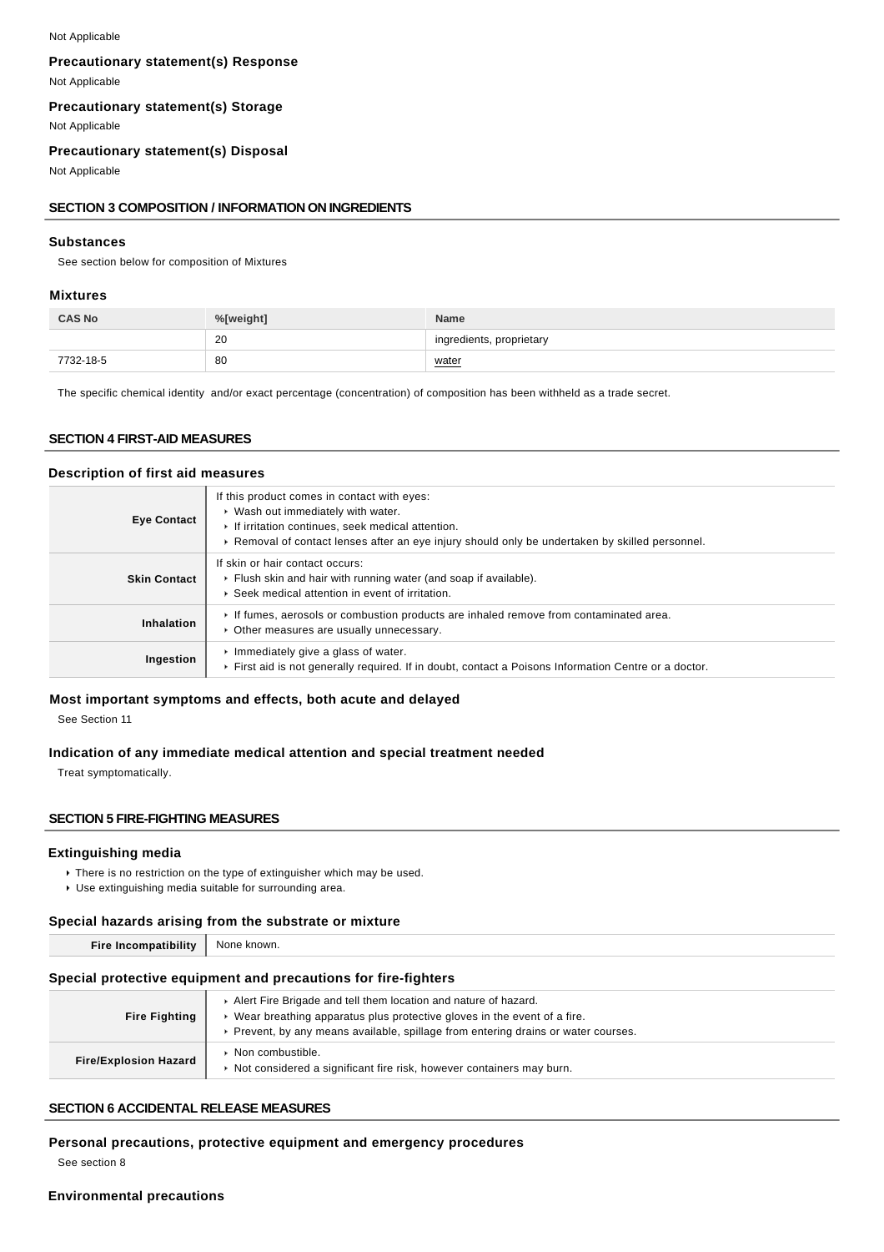#### Not Applicable

### **Precautionary statement(s) Response**

Not Applicable

# **Precautionary statement(s) Storage**

Not Applicable

# **Precautionary statement(s) Disposal**

Not Applicable

### **SECTION 3 COMPOSITION / INFORMATION ON INGREDIENTS**

### **Substances**

See section below for composition of Mixtures

#### **Mixtures**

| <b>CAS No</b> | %[weight] | <b>Name</b>              |
|---------------|-----------|--------------------------|
|               | 20        | ingredients, proprietary |
| 7732-18-5     | 80        | water                    |

The specific chemical identity and/or exact percentage (concentration) of composition has been withheld as a trade secret.

### **SECTION 4 FIRST-AID MEASURES**

#### **Description of first aid measures**

| <b>Eye Contact</b>  | If this product comes in contact with eyes:<br>▶ Wash out immediately with water.<br>If irritation continues, seek medical attention.<br>► Removal of contact lenses after an eye injury should only be undertaken by skilled personnel. |
|---------------------|------------------------------------------------------------------------------------------------------------------------------------------------------------------------------------------------------------------------------------------|
| <b>Skin Contact</b> | If skin or hair contact occurs:<br>Flush skin and hair with running water (and soap if available).<br>▶ Seek medical attention in event of irritation.                                                                                   |
| Inhalation          | If fumes, aerosols or combustion products are inhaled remove from contaminated area.<br>• Other measures are usually unnecessary.                                                                                                        |
| Ingestion           | $\cdot$ Immediately give a glass of water.<br>First aid is not generally required. If in doubt, contact a Poisons Information Centre or a doctor.                                                                                        |

#### **Most important symptoms and effects, both acute and delayed**

See Section 11

### **Indication of any immediate medical attention and special treatment needed**

Treat symptomatically.

#### **SECTION 5 FIRE-FIGHTING MEASURES**

### **Extinguishing media**

There is no restriction on the type of extinguisher which may be used. Use extinguishing media suitable for surrounding area.

#### **Special hazards arising from the substrate or mixture**

| .<br>Fire<br>omezu<br>_____ | known.<br>None |
|-----------------------------|----------------|
|                             |                |

### **Special protective equipment and precautions for fire-fighters**

| <b>Fire Fighting</b>         | Alert Fire Brigade and tell them location and nature of hazard.<br>Wear breathing apparatus plus protective gloves in the event of a fire.<br>Prevent, by any means available, spillage from entering drains or water courses. |
|------------------------------|--------------------------------------------------------------------------------------------------------------------------------------------------------------------------------------------------------------------------------|
| <b>Fire/Explosion Hazard</b> | Non combustible.<br>Not considered a significant fire risk, however containers may burn.                                                                                                                                       |

### **SECTION 6 ACCIDENTAL RELEASE MEASURES**

#### **Personal precautions, protective equipment and emergency procedures**

See section 8

# **Environmental precautions**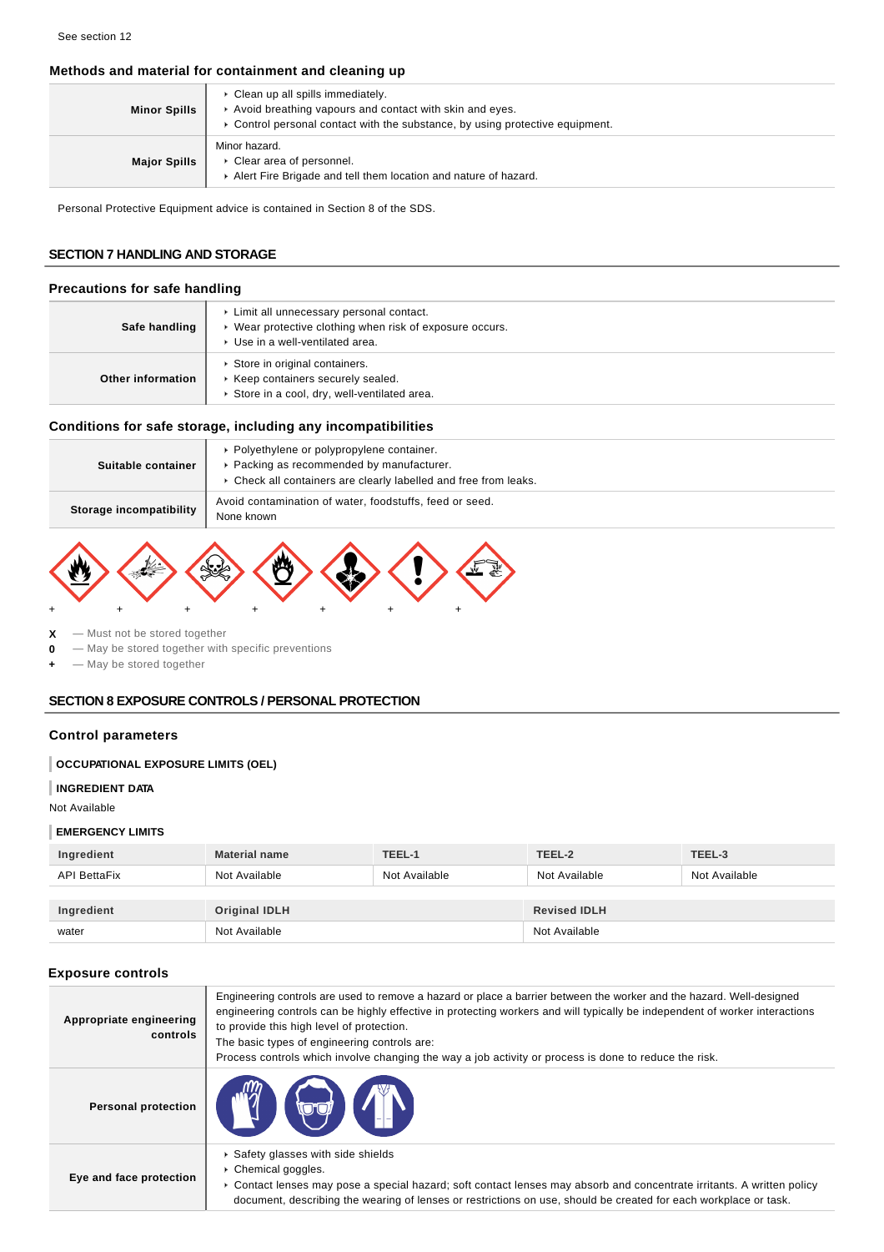# **Methods and material for containment and cleaning up**

| <b>Minor Spills</b> | • Clean up all spills immediately.<br>Avoid breathing vapours and contact with skin and eyes.<br>► Control personal contact with the substance, by using protective equipment. |
|---------------------|--------------------------------------------------------------------------------------------------------------------------------------------------------------------------------|
| <b>Major Spills</b> | Minor hazard.<br>Clear area of personnel.<br>Alert Fire Brigade and tell them location and nature of hazard.                                                                   |

Personal Protective Equipment advice is contained in Section 8 of the SDS.

# **SECTION 7 HANDLING AND STORAGE**

### **Precautions for safe handling**

| Safe handling     | ▶ Limit all unnecessary personal contact.<br>▶ Wear protective clothing when risk of exposure occurs.<br>▶ Use in a well-ventilated area. |
|-------------------|-------------------------------------------------------------------------------------------------------------------------------------------|
| Other information | Store in original containers.<br>▶ Keep containers securely sealed.<br>Store in a cool, dry, well-ventilated area.                        |

# **Conditions for safe storage, including any incompatibilities**

| Suitable container      | • Polyethylene or polypropylene container.<br>▶ Packing as recommended by manufacturer.<br>▶ Check all containers are clearly labelled and free from leaks. |
|-------------------------|-------------------------------------------------------------------------------------------------------------------------------------------------------------|
| Storage incompatibility | Avoid contamination of water, foodstuffs, feed or seed.<br>None known                                                                                       |



**X** — Must not be stored together

**0** — May be stored together with specific preventions

**+** — May be stored together

### **SECTION 8 EXPOSURE CONTROLS / PERSONAL PROTECTION**

# **Control parameters**

### **OCCUPATIONAL EXPOSURE LIMITS (OEL)**

#### **INGREDIENT DATA**

Not Available

### **EMERGENCY LIMITS**

| Ingredient          | <b>Material name</b> | TEEL-1        | TEEL-2              | TEEL-3        |
|---------------------|----------------------|---------------|---------------------|---------------|
| <b>API BettaFix</b> | Not Available        | Not Available | Not Available       | Not Available |
|                     |                      |               |                     |               |
| Ingredient          | <b>Original IDLH</b> |               | <b>Revised IDLH</b> |               |
| water               | Not Available        |               | Not Available       |               |

# **Exposure controls**

| Appropriate engineering<br>controls | Engineering controls are used to remove a hazard or place a barrier between the worker and the hazard. Well-designed<br>engineering controls can be highly effective in protecting workers and will typically be independent of worker interactions<br>to provide this high level of protection.<br>The basic types of engineering controls are:<br>Process controls which involve changing the way a job activity or process is done to reduce the risk. |
|-------------------------------------|-----------------------------------------------------------------------------------------------------------------------------------------------------------------------------------------------------------------------------------------------------------------------------------------------------------------------------------------------------------------------------------------------------------------------------------------------------------|
| Personal protection                 | <b>FILED</b>                                                                                                                                                                                                                                                                                                                                                                                                                                              |
| Eye and face protection             | Safety glasses with side shields<br>▶ Chemical goggles.<br>► Contact lenses may pose a special hazard; soft contact lenses may absorb and concentrate irritants. A written policy<br>document, describing the wearing of lenses or restrictions on use, should be created for each workplace or task.                                                                                                                                                     |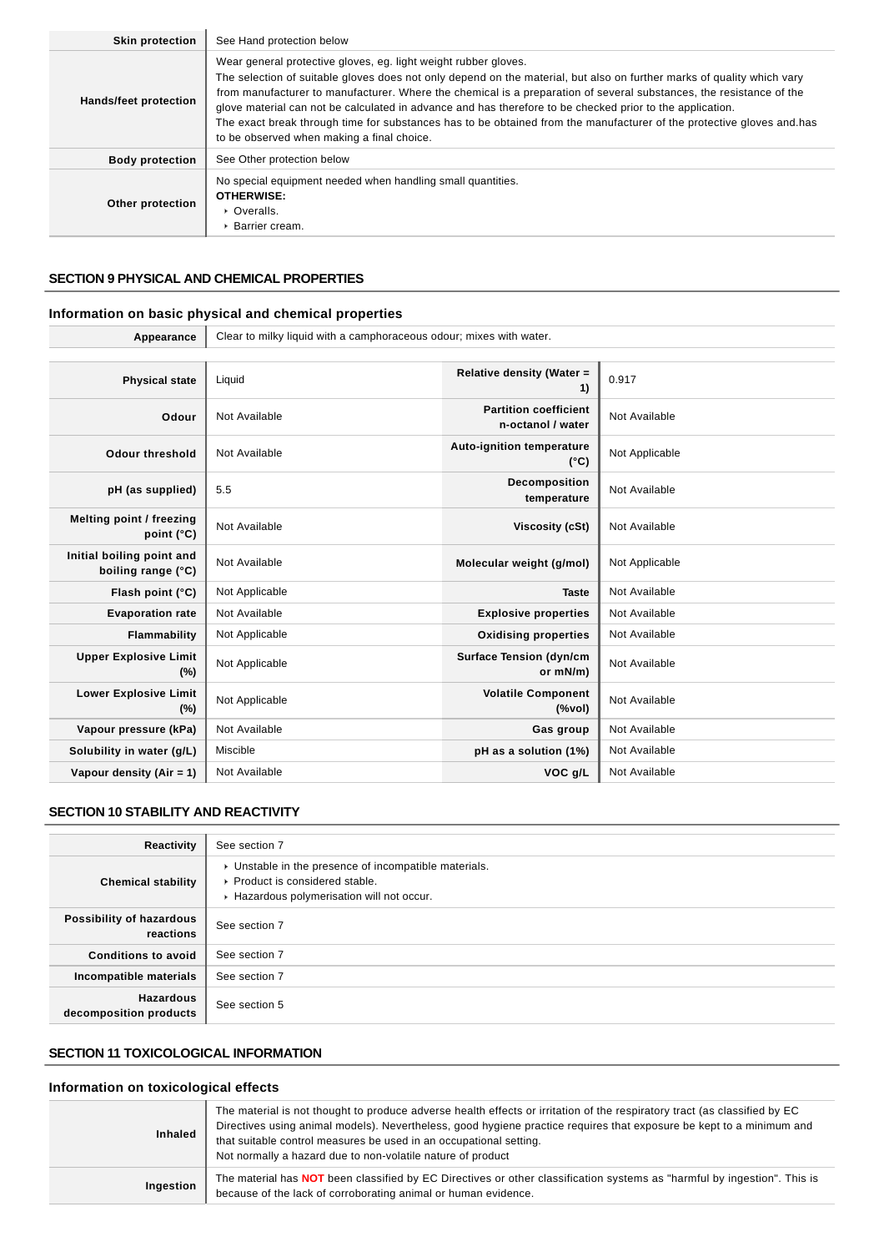| <b>Skin protection</b> | See Hand protection below                                                                                                                                                                                                                                                                                                                                                                                                                                                                                                                                                                            |
|------------------------|------------------------------------------------------------------------------------------------------------------------------------------------------------------------------------------------------------------------------------------------------------------------------------------------------------------------------------------------------------------------------------------------------------------------------------------------------------------------------------------------------------------------------------------------------------------------------------------------------|
| Hands/feet protection  | Wear general protective gloves, eg. light weight rubber gloves.<br>The selection of suitable gloves does not only depend on the material, but also on further marks of quality which vary<br>from manufacturer to manufacturer. Where the chemical is a preparation of several substances, the resistance of the<br>glove material can not be calculated in advance and has therefore to be checked prior to the application.<br>The exact break through time for substances has to be obtained from the manufacturer of the protective gloves and has<br>to be observed when making a final choice. |
| <b>Body protection</b> | See Other protection below                                                                                                                                                                                                                                                                                                                                                                                                                                                                                                                                                                           |
| Other protection       | No special equipment needed when handling small quantities.<br><b>OTHERWISE:</b><br>$\triangleright$ Overalls.<br>▶ Barrier cream.                                                                                                                                                                                                                                                                                                                                                                                                                                                                   |

# **SECTION 9 PHYSICAL AND CHEMICAL PROPERTIES**

# **Information on basic physical and chemical properties**

| Clear to milky liquid with a camphoraceous odour; mixes with water. |                                                   |                |  |  |
|---------------------------------------------------------------------|---------------------------------------------------|----------------|--|--|
|                                                                     |                                                   |                |  |  |
| Liquid                                                              | Relative density (Water =<br>1)                   | 0.917          |  |  |
| Not Available                                                       | <b>Partition coefficient</b><br>n-octanol / water | Not Available  |  |  |
| Not Available                                                       | Auto-ignition temperature<br>$(^{\circ}C)$        | Not Applicable |  |  |
| 5.5                                                                 | Decomposition<br>temperature                      | Not Available  |  |  |
| Not Available                                                       | Viscosity (cSt)                                   | Not Available  |  |  |
| Not Available                                                       | Molecular weight (g/mol)                          | Not Applicable |  |  |
| Not Applicable                                                      | <b>Taste</b>                                      | Not Available  |  |  |
| Not Available                                                       | <b>Explosive properties</b>                       | Not Available  |  |  |
| Not Applicable                                                      | <b>Oxidising properties</b>                       | Not Available  |  |  |
| Not Applicable                                                      | <b>Surface Tension (dyn/cm</b><br>or mN/m)        | Not Available  |  |  |
| Not Applicable                                                      | <b>Volatile Component</b><br>(%                   | Not Available  |  |  |
| Not Available                                                       | Gas group                                         | Not Available  |  |  |
| Miscible                                                            | pH as a solution (1%)                             | Not Available  |  |  |
| Not Available                                                       | VOC g/L                                           | Not Available  |  |  |
|                                                                     |                                                   |                |  |  |

# **SECTION 10 STABILITY AND REACTIVITY**

| Reactivity                                 | See section 7                                                                                                                        |
|--------------------------------------------|--------------------------------------------------------------------------------------------------------------------------------------|
| <b>Chemical stability</b>                  | • Unstable in the presence of incompatible materials.<br>▶ Product is considered stable.<br>Hazardous polymerisation will not occur. |
| Possibility of hazardous<br>reactions      | See section 7                                                                                                                        |
| <b>Conditions to avoid</b>                 | See section 7                                                                                                                        |
| Incompatible materials                     | See section 7                                                                                                                        |
| <b>Hazardous</b><br>decomposition products | See section 5                                                                                                                        |

# **SECTION 11 TOXICOLOGICAL INFORMATION**

# **Information on toxicological effects**

| <b>Inhaled</b> | The material is not thought to produce adverse health effects or irritation of the respiratory tract (as classified by EC<br>Directives using animal models). Nevertheless, good hygiene practice requires that exposure be kept to a minimum and<br>that suitable control measures be used in an occupational setting.<br>Not normally a hazard due to non-volatile nature of product |
|----------------|----------------------------------------------------------------------------------------------------------------------------------------------------------------------------------------------------------------------------------------------------------------------------------------------------------------------------------------------------------------------------------------|
| Ingestion      | The material has <b>NOT</b> been classified by EC Directives or other classification systems as "harmful by ingestion". This is<br>because of the lack of corroborating animal or human evidence.                                                                                                                                                                                      |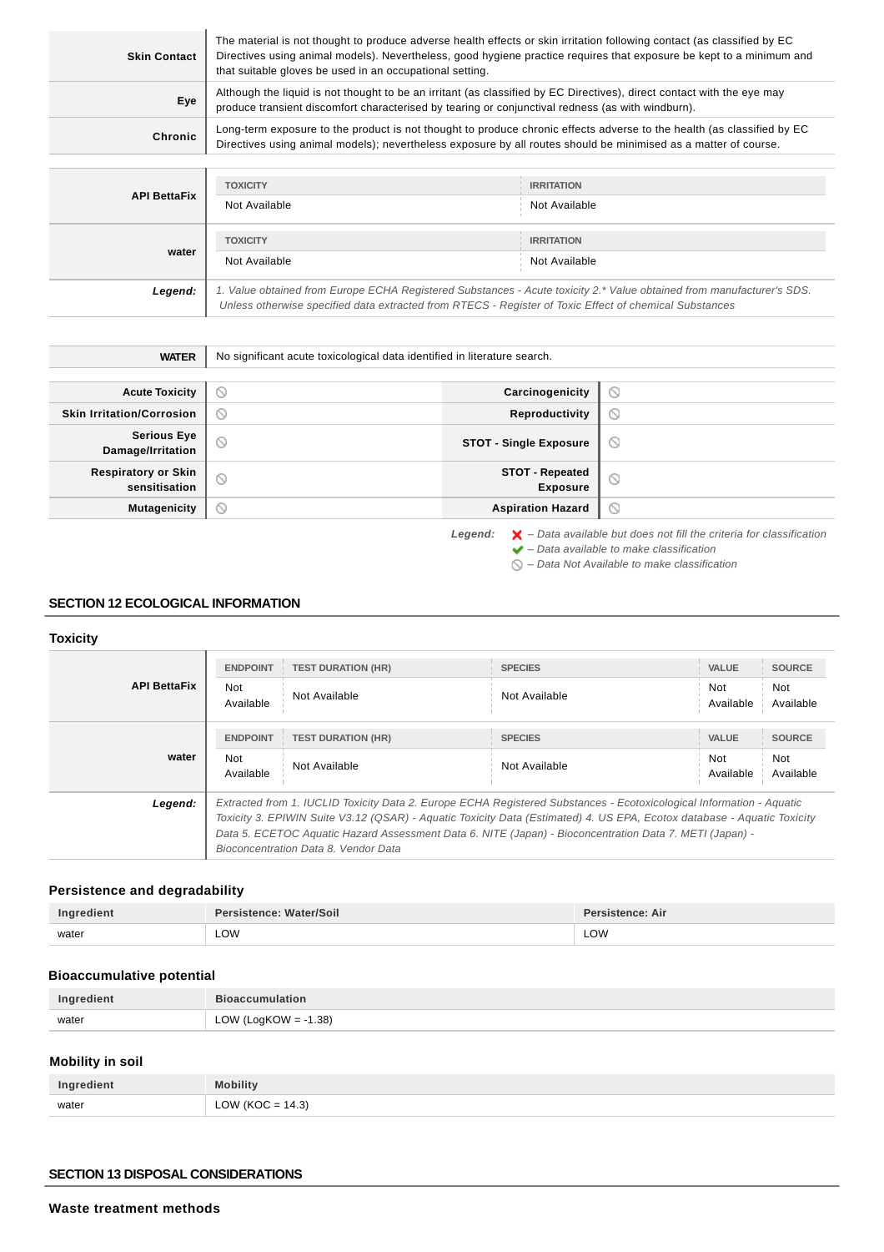| <b>Skin Contact</b> | The material is not thought to produce adverse health effects or skin irritation following contact (as classified by EC<br>Directives using animal models). Nevertheless, good hygiene practice requires that exposure be kept to a minimum and<br>that suitable gloves be used in an occupational setting. |                                                                                                                                                                                                                                           |  |
|---------------------|-------------------------------------------------------------------------------------------------------------------------------------------------------------------------------------------------------------------------------------------------------------------------------------------------------------|-------------------------------------------------------------------------------------------------------------------------------------------------------------------------------------------------------------------------------------------|--|
| Eye                 | Although the liquid is not thought to be an irritant (as classified by EC Directives), direct contact with the eye may<br>produce transient discomfort characterised by tearing or conjunctival redness (as with windburn).                                                                                 |                                                                                                                                                                                                                                           |  |
| Chronic             |                                                                                                                                                                                                                                                                                                             | Long-term exposure to the product is not thought to produce chronic effects adverse to the health (as classified by EC<br>Directives using animal models); nevertheless exposure by all routes should be minimised as a matter of course. |  |
|                     | <b>TOXICITY</b>                                                                                                                                                                                                                                                                                             | <b>IRRITATION</b>                                                                                                                                                                                                                         |  |

|                     | <u>IUAIULI</u>                                                                                                                                                                                                                  | IRRIJAIJUN        |  |
|---------------------|---------------------------------------------------------------------------------------------------------------------------------------------------------------------------------------------------------------------------------|-------------------|--|
| <b>API BettaFix</b> | Not Available                                                                                                                                                                                                                   | Not Available     |  |
|                     |                                                                                                                                                                                                                                 |                   |  |
| water               | <b>TOXICITY</b>                                                                                                                                                                                                                 | <b>IRRITATION</b> |  |
|                     | Not Available                                                                                                                                                                                                                   | Not Available     |  |
| Legend:             | 1. Value obtained from Europe ECHA Registered Substances - Acute toxicity 2.* Value obtained from manufacturer's SDS.<br>Unless otherwise specified data extracted from RTECS - Register of Toxic Effect of chemical Substances |                   |  |
|                     |                                                                                                                                                                                                                                 |                   |  |

| <b>WATER</b>                                | No significant acute toxicological data identified in literature search. |                                           |                                                                                          |
|---------------------------------------------|--------------------------------------------------------------------------|-------------------------------------------|------------------------------------------------------------------------------------------|
|                                             |                                                                          |                                           |                                                                                          |
| <b>Acute Toxicity</b>                       | $\circ$                                                                  | Carcinogenicity                           | $\circ$                                                                                  |
| <b>Skin Irritation/Corrosion</b>            | ∾                                                                        | Reproductivity                            | $\circ$                                                                                  |
| <b>Serious Eye</b><br>Damage/Irritation     | $\odot$                                                                  | <b>STOT - Single Exposure</b>             | $\circ$                                                                                  |
| <b>Respiratory or Skin</b><br>sensitisation | $\odot$                                                                  | <b>STOT - Repeated</b><br><b>Exposure</b> | $\circ$                                                                                  |
| <b>Mutagenicity</b>                         | $\circledcirc$                                                           | <b>Aspiration Hazard</b>                  | $\circ$                                                                                  |
|                                             |                                                                          | Legend:                                   | $\blacktriangleright$ - Data available but does not fill the criteria for classification |

 $\blacktriangleright$  – Data available to make classification

 $\bigcirc$  – Data Not Available to make classification

# **SECTION 12 ECOLOGICAL INFORMATION**

# **Toxicity**

| <b>API BettaFix</b> | <b>ENDPOINT</b><br>Not<br>Available | <b>TEST DURATION (HR)</b><br>Not Available                                                                                                                                                                                                                                                                                                                                                         | <b>SPECIES</b><br>Not Available | <b>VALUE</b><br>Not<br>Available | <b>SOURCE</b><br>Not<br>Available |
|---------------------|-------------------------------------|----------------------------------------------------------------------------------------------------------------------------------------------------------------------------------------------------------------------------------------------------------------------------------------------------------------------------------------------------------------------------------------------------|---------------------------------|----------------------------------|-----------------------------------|
| water               | <b>ENDPOINT</b><br>Not<br>Available | <b>TEST DURATION (HR)</b><br>Not Available                                                                                                                                                                                                                                                                                                                                                         | <b>SPECIES</b><br>Not Available | <b>VALUE</b><br>Not<br>Available | <b>SOURCE</b><br>Not<br>Available |
| Legend:             |                                     | Extracted from 1. IUCLID Toxicity Data 2. Europe ECHA Registered Substances - Ecotoxicological Information - Aquatic<br>Toxicity 3. EPIWIN Suite V3.12 (QSAR) - Aquatic Toxicity Data (Estimated) 4. US EPA, Ecotox database - Aquatic Toxicity<br>Data 5. ECETOC Aquatic Hazard Assessment Data 6. NITE (Japan) - Bioconcentration Data 7. METI (Japan) -<br>Bioconcentration Data 8. Vendor Data |                                 |                                  |                                   |

# **Persistence and degradability**

| Ingredient | Persistence: Water/Soil | Persistence: Air |
|------------|-------------------------|------------------|
| water      | LOW                     | LOW              |

# **Bioaccumulative potential**

| Ingredient | <b>Bioaccumulation</b>                     |
|------------|--------------------------------------------|
| water      | $V$ (LogKOW = -1.38)<br>$\bigcap M$<br>LUW |

### **Mobility in soil**

| Ingredient | <b>Mobility</b>      |
|------------|----------------------|
| water      | LOW ( $KOC = 14.3$ ) |

# **SECTION 13 DISPOSAL CONSIDERATIONS**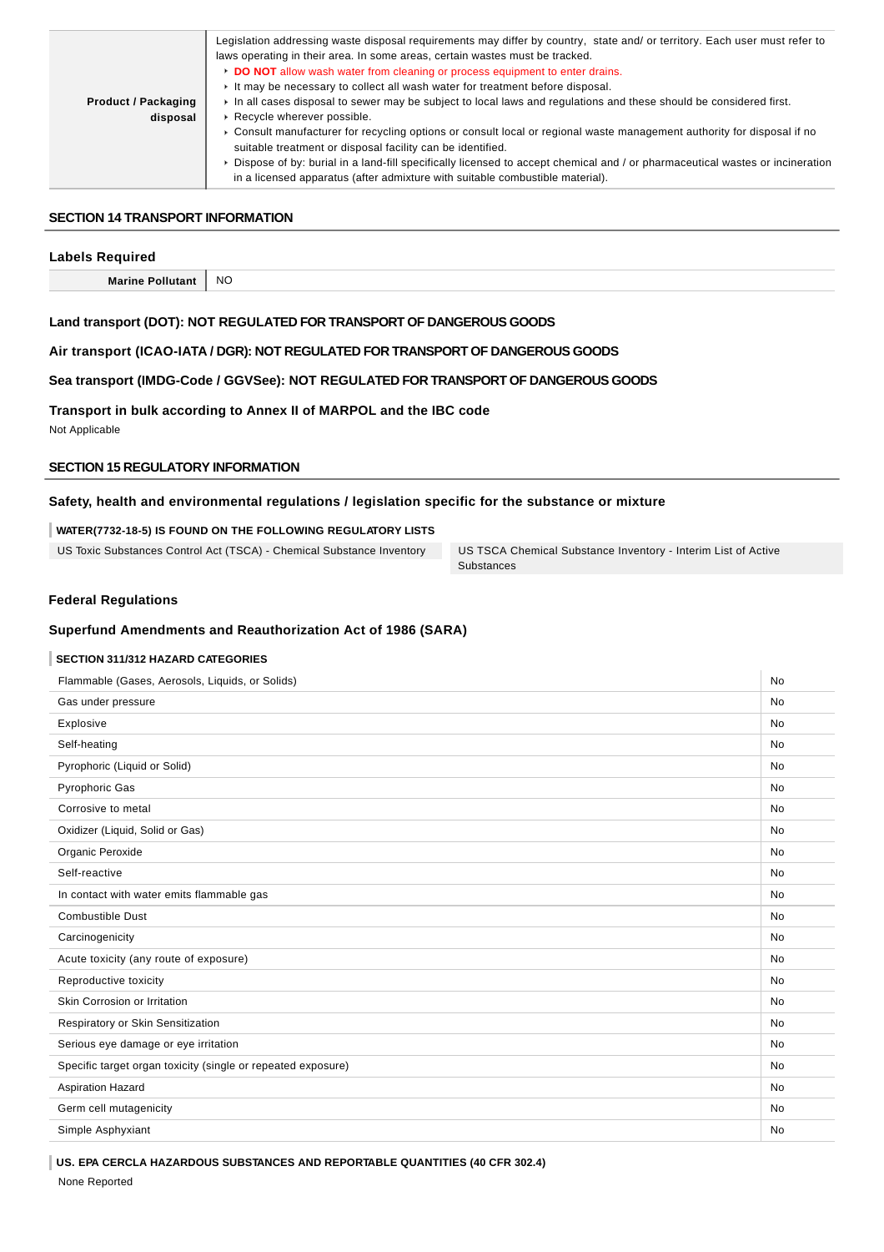|                            | Legislation addressing waste disposal requirements may differ by country, state and/ or territory. Each user must refer to     |
|----------------------------|--------------------------------------------------------------------------------------------------------------------------------|
|                            | laws operating in their area. In some areas, certain wastes must be tracked.                                                   |
|                            | DO NOT allow wash water from cleaning or process equipment to enter drains.                                                    |
|                            | It may be necessary to collect all wash water for treatment before disposal.                                                   |
| <b>Product / Packaging</b> | In all cases disposal to sewer may be subject to local laws and regulations and these should be considered first.              |
| disposal                   | ▶ Recycle wherever possible.                                                                                                   |
|                            | ► Consult manufacturer for recycling options or consult local or regional waste management authority for disposal if no        |
|                            | suitable treatment or disposal facility can be identified.                                                                     |
|                            | ▶ Dispose of by: burial in a land-fill specifically licensed to accept chemical and / or pharmaceutical wastes or incineration |
|                            | in a licensed apparatus (after admixture with suitable combustible material).                                                  |

### **SECTION 14 TRANSPORT INFORMATION**

### **Labels Required**

| <b>Marini</b><br>rınc<br>ma·<br>_________ | - NC<br>$\sim$ |
|-------------------------------------------|----------------|

### **Land transport (DOT): NOT REGULATED FOR TRANSPORT OF DANGEROUS GOODS**

### **Air transport (ICAO-IATA / DGR): NOT REGULATED FOR TRANSPORT OF DANGEROUS GOODS**

# **Sea transport (IMDG-Code / GGVSee): NOT REGULATED FOR TRANSPORT OF DANGEROUS GOODS**

# **Transport in bulk according to Annex II of MARPOL and the IBC code**

Not Applicable

# **SECTION 15 REGULATORY INFORMATION**

# **Safety, health and environmental regulations / legislation specific for the substance or mixture**

### **WATER(7732-18-5) IS FOUND ON THE FOLLOWING REGULATORY LISTS**

US Toxic Substances Control Act (TSCA) - Chemical Substance Inventory US TSCA Chemical Substance Inventory - Interim List of Active

**Substances** 

### **Federal Regulations**

### **Superfund Amendments and Reauthorization Act of 1986 (SARA)**

# **SECTION 311/312 HAZARD CATEGORIES**

| Flammable (Gases, Aerosols, Liquids, or Solids)              | <b>No</b> |
|--------------------------------------------------------------|-----------|
| Gas under pressure                                           | No        |
| Explosive                                                    | <b>No</b> |
| Self-heating                                                 | <b>No</b> |
| Pyrophoric (Liquid or Solid)                                 | <b>No</b> |
| <b>Pyrophoric Gas</b>                                        | <b>No</b> |
| Corrosive to metal                                           | <b>No</b> |
| Oxidizer (Liquid, Solid or Gas)                              | <b>No</b> |
| Organic Peroxide                                             | <b>No</b> |
| Self-reactive                                                | <b>No</b> |
| In contact with water emits flammable gas                    | <b>No</b> |
| <b>Combustible Dust</b>                                      | <b>No</b> |
| Carcinogenicity                                              | <b>No</b> |
| Acute toxicity (any route of exposure)                       | <b>No</b> |
| Reproductive toxicity                                        | <b>No</b> |
| Skin Corrosion or Irritation                                 | <b>No</b> |
| Respiratory or Skin Sensitization                            | <b>No</b> |
| Serious eye damage or eye irritation                         | <b>No</b> |
| Specific target organ toxicity (single or repeated exposure) | <b>No</b> |
| <b>Aspiration Hazard</b>                                     | <b>No</b> |
| Germ cell mutagenicity                                       | <b>No</b> |
| Simple Asphyxiant                                            | <b>No</b> |
|                                                              |           |

**US. EPA CERCLA HAZARDOUS SUBSTANCES AND REPORTABLE QUANTITIES (40 CFR 302.4)**

None Reported